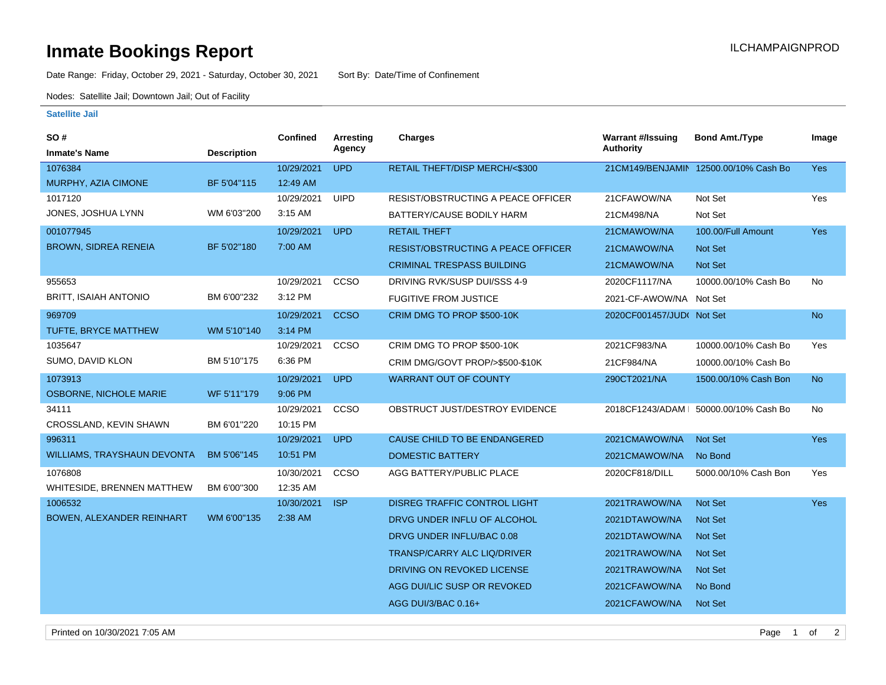## **Inmate Bookings Report Inmate Bookings Report**

Date Range: Friday, October 29, 2021 - Saturday, October 30, 2021 Sort By: Date/Time of Confinement

Nodes: Satellite Jail; Downtown Jail; Out of Facility

## **Satellite Jail**

| <b>SO#</b>                         |                    | <b>Confined</b> | Arresting   | Charges                                   | <b>Warrant #/Issuing</b>  | <b>Bond Amt./Type</b>                  | Image          |
|------------------------------------|--------------------|-----------------|-------------|-------------------------------------------|---------------------------|----------------------------------------|----------------|
| <b>Inmate's Name</b>               | <b>Description</b> |                 | Agency      |                                           | <b>Authority</b>          |                                        |                |
| 1076384                            |                    | 10/29/2021      | <b>UPD</b>  | RETAIL THEFT/DISP MERCH/<\$300            |                           | 21CM149/BENJAMIN 12500.00/10% Cash Bo  | <b>Yes</b>     |
| MURPHY, AZIA CIMONE                | BF 5'04"115        | 12:49 AM        |             |                                           |                           |                                        |                |
| 1017120                            |                    | 10/29/2021      | <b>UIPD</b> | <b>RESIST/OBSTRUCTING A PEACE OFFICER</b> | 21CFAWOW/NA               | Not Set                                | Yes            |
| JONES, JOSHUA LYNN                 | WM 6'03"200        | 3:15 AM         |             | BATTERY/CAUSE BODILY HARM                 | 21CM498/NA                | Not Set                                |                |
| 001077945                          |                    | 10/29/2021      | <b>UPD</b>  | <b>RETAIL THEFT</b>                       | 21CMAWOW/NA               | 100.00/Full Amount                     | <b>Yes</b>     |
| <b>BROWN, SIDREA RENEIA</b>        | BF 5'02"180        | 7:00 AM         |             | RESIST/OBSTRUCTING A PEACE OFFICER        | 21CMAWOW/NA               | <b>Not Set</b>                         |                |
|                                    |                    |                 |             | <b>CRIMINAL TRESPASS BUILDING</b>         | 21CMAWOW/NA               | Not Set                                |                |
| 955653                             |                    | 10/29/2021      | CCSO        | DRIVING RVK/SUSP DUI/SSS 4-9              | 2020CF1117/NA             | 10000.00/10% Cash Bo                   | No             |
| <b>BRITT, ISAIAH ANTONIO</b>       | BM 6'00"232        | 3:12 PM         |             | <b>FUGITIVE FROM JUSTICE</b>              | 2021-CF-AWOW/NA Not Set   |                                        |                |
| 969709                             |                    | 10/29/2021      | <b>CCSO</b> | CRIM DMG TO PROP \$500-10K                | 2020CF001457/JUD( Not Set |                                        | <b>No</b>      |
| TUFTE, BRYCE MATTHEW               | WM 5'10"140        | 3:14 PM         |             |                                           |                           |                                        |                |
| 1035647                            |                    | 10/29/2021      | ccso        | CRIM DMG TO PROP \$500-10K                | 2021CF983/NA              | 10000.00/10% Cash Bo                   | Yes            |
| SUMO, DAVID KLON                   | BM 5'10"175        | 6:36 PM         |             | CRIM DMG/GOVT PROP/>\$500-\$10K           | 21CF984/NA                | 10000.00/10% Cash Bo                   |                |
| 1073913                            |                    | 10/29/2021      | <b>UPD</b>  | <b>WARRANT OUT OF COUNTY</b>              | 290CT2021/NA              | 1500.00/10% Cash Bon                   | N <sub>o</sub> |
| OSBORNE, NICHOLE MARIE             | WF 5'11"179        | 9:06 PM         |             |                                           |                           |                                        |                |
| 34111                              |                    | 10/29/2021      | CCSO        | OBSTRUCT JUST/DESTROY EVIDENCE            |                           | 2018CF1243/ADAM   50000.00/10% Cash Bo | No             |
| CROSSLAND, KEVIN SHAWN             | BM 6'01"220        | 10:15 PM        |             |                                           |                           |                                        |                |
| 996311                             |                    | 10/29/2021      | <b>UPD</b>  | CAUSE CHILD TO BE ENDANGERED              | 2021CMAWOW/NA             | <b>Not Set</b>                         | Yes            |
| <b>WILLIAMS, TRAYSHAUN DEVONTA</b> | BM 5'06"145        | 10:51 PM        |             | <b>DOMESTIC BATTERY</b>                   | 2021CMAWOW/NA             | No Bond                                |                |
| 1076808                            |                    | 10/30/2021      | CCSO        | AGG BATTERY/PUBLIC PLACE                  | 2020CF818/DILL            | 5000.00/10% Cash Bon                   | Yes            |
| WHITESIDE, BRENNEN MATTHEW         | BM 6'00"300        | 12:35 AM        |             |                                           |                           |                                        |                |
| 1006532                            |                    | 10/30/2021      | <b>ISP</b>  | <b>DISREG TRAFFIC CONTROL LIGHT</b>       | 2021TRAWOW/NA             | <b>Not Set</b>                         | Yes            |
| BOWEN, ALEXANDER REINHART          | WM 6'00"135        | 2:38 AM         |             | DRVG UNDER INFLU OF ALCOHOL               | 2021DTAWOW/NA             | <b>Not Set</b>                         |                |
|                                    |                    |                 |             | DRVG UNDER INFLU/BAC 0.08                 | 2021DTAWOW/NA             | <b>Not Set</b>                         |                |
|                                    |                    |                 |             | TRANSP/CARRY ALC LIQ/DRIVER               | 2021TRAWOW/NA             | <b>Not Set</b>                         |                |
|                                    |                    |                 |             | DRIVING ON REVOKED LICENSE                | 2021TRAWOW/NA             | <b>Not Set</b>                         |                |
|                                    |                    |                 |             | AGG DUI/LIC SUSP OR REVOKED               | 2021CFAWOW/NA             | No Bond                                |                |
|                                    |                    |                 |             | AGG DUI/3/BAC 0.16+                       | 2021CFAWOW/NA             | <b>Not Set</b>                         |                |
|                                    |                    |                 |             |                                           |                           |                                        |                |